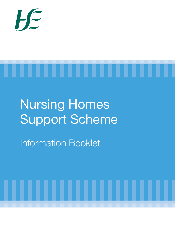



# Nursing Homes Support Scheme

Information Booklet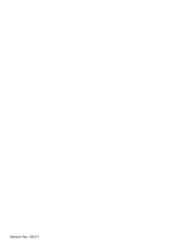Version No. 08/21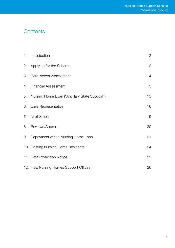# **Contents**

| 1. | Introduction                                  | $\mathbf{2}^{\prime}$ |
|----|-----------------------------------------------|-----------------------|
| 2. | Applying for the Scheme                       | 2                     |
| 3. | Care Needs Assessment                         | $\overline{4}$        |
| 4. | <b>Financial Assessment</b>                   | 5                     |
| 5. | Nursing Home Loan ("Ancillary State Support") | 15                    |
| 6. | Care Representative                           | 16                    |
| 7. | <b>Next Steps</b>                             | 19                    |
| 8. | Reviews/Appeals                               | 20                    |
| 9. | Repayment of the Nursing Home Loan            | 21                    |
|    | 10. Existing Nursing Home Residents           | 24                    |
|    | 11. Data Protection Notice                    | 25                    |
|    | 12. HSE Nursing Homes Support Offices         | 26                    |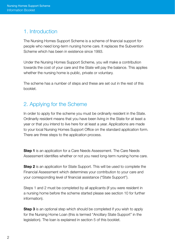# 1. Introduction

The Nursing Homes Support Scheme is a scheme of financial support for people who need long-term nursing home care. It replaces the Subvention Scheme which has been in existence since 1993.

Under the Nursing Homes Support Scheme, you will make a contribution towards the cost of your care and the State will pay the balance. This applies whether the nursing home is public, private or voluntary.

The scheme has a number of steps and these are set out in the rest of this booklet.

# 2. Applying for the Scheme

In order to apply for the scheme you must be ordinarily resident in the State. Ordinarily resident means that you have been living in the State for at least a year or that you intend to live here for at least a year. Applications are made to your local Nursing Homes Support Office on the standard application form. There are three steps to the application process.

**Step 1** is an application for a Care Needs Assessment. The Care Needs Assessment identifies whether or not you need long-term nursing home care.

**Step 2** is an application for State Support. This will be used to complete the Financial Assessment which determines your contribution to your care and your corresponding level of financial assistance ("State Support").

Steps 1 and 2 must be completed by all applicants (if you were resident in a nursing home before the scheme started please see section 10 for further information).

**Step 3** is an optional step which should be completed if you wish to apply for the Nursing Home Loan (this is termed "Ancillary State Support" in the legislation). The loan is explained in section 5 of this booklet.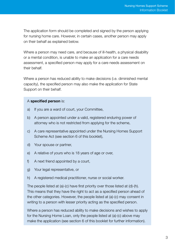The application form should be completed and signed by the person applying for nursing home care. However, in certain cases, another person may apply on their behalf as explained below.

Where a person may need care, and because of ill-health, a physical disability or a mental condition, is unable to make an application for a care needs assessment, a specified person may apply for a care needs assessment on their behalf.

Where a person has reduced ability to make decisions (i.e. diminished mental capacity), the specified person may also make the application for State Support on their behalf.

#### A specified person is:

- a) If you are a ward of court, your Committee,
- b) A person appointed under a valid, registered enduring power of attorney who is not restricted from applying for the scheme,
- c) A care representative appointed under the Nursing Homes Support Scheme Act (see section 6 of this booklet),
- d) Your spouse or partner,
- e) A relative of yours who is 18 years of age or over,
- f) A next friend appointed by a court,
- g) Your legal representative, or
- h) A registered medical practitioner, nurse or social worker.

The people listed at (a)-(c) have first priority over those listed at (d)-(h). This means that they have the right to act as a specified person ahead of the other categories. However, the people listed at (a)-(c) may consent in writing to a person with lesser priority acting as the specified person.

Where a person has reduced ability to make decisions and wishes to apply for the Nursing Home Loan, only the people listed at (a)-(c) above may make the application (see section 6 of this booklet for further information).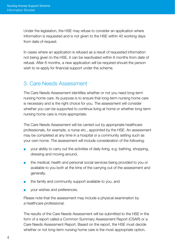Under the legislation, the HSE may refuse to consider an application where information is requested and is not given to the HSE within 40 working days from date of request.

In cases where an application is refused as a result of requested information not being given to the HSE, it can be reactivated within 6 months from date of refusal. After 6 months, a new application will be required should the person wish to re-apply for financial support under the scheme.

# 3. Care Needs Assessment

The Care Needs Assessment identifies whether or not you need long-term nursing home care. Its purpose is to ensure that long-term nursing home care is necessary and is the right choice for you. The assessment will consider whether you can be supported to continue living at home or whether long-term nursing home care is more appropriate.

The Care Needs Assessment will be carried out by appropriate healthcare professionals, for example, a nurse etc., appointed by the HSE. An assessment may be completed at any time in a hospital or a community setting such as your own home. The assessment will include consideration of the following:

- your ability to carry out the activities of daily living, e.g. bathing, shopping, dressing and moving around,
- the medical, health and personal social services being provided to you or available to you both at the time of the carrying out of the assessment and generally,
- the family and community support available to you, and
- vour wishes and preferences.

Please note that the assessment may include a physical examination by a healthcare professional.

The results of the Care Needs Assessment will be submitted to the HSE in the form of a report called a Common Summary Assessment Report (CSAR) or a Care Needs Assessment Report. Based on the report, the HSE must decide whether or not long-term nursing home care is the most appropriate option.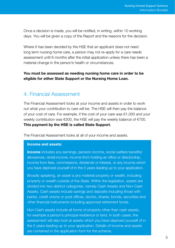Once a decision is made, you will be notified, in writing, within 10 working days. You will be given a copy of the Report and the reasons for the decision.

Where it has been decided by the HSE that an applicant does not need long term nursing home care, a person may not re-apply for a care needs assessment until 6 months after the initial application unless there has been a material change in the person's health or circumstances.

## You must be assessed as needing nursing home care in order to be eligible for either State Support or the Nursing Home Loan.

## 4. Financial Assessment

The Financial Assessment looks at your income and assets in order to work out what your contribution to care will be. The HSE will then pay the balance of your cost of care. For example, if the cost of your care was €1,000 and your weekly contribution was €300, the HSE will pay the weekly balance of €700. This payment by the HSE is called State Support.

The Financial Assessment looks at all of your income and assets.

#### Income and assets:

**Income** includes any earnings, pension income, social welfare benefits/ allowances, rental income, income from holding an office or directorship, income from fees, commissions, dividends or interest, or any income which you have deprived yourself of in the 5 years leading up to your application.

Broadly speaking, an asset is any material property or wealth, including property or wealth outside of the State. Within the legislation, assets are divided into two distinct categories, namely Cash Assets and Non-Cash Assets. Cash assets include savings and deposits including those with banks, credit unions or post offices, stocks, shares, bonds, securities and other financial instruments including approved retirement funds.

Non-Cash assets include all forms of property other than cash assets, for example a person's principal residence or land. In both cases, the assessment will also look at assets which you have deprived yourself of in the 5 years leading up to your application. Details of income and assets are contained in the application form for the scheme.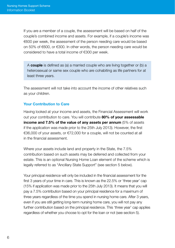If you are a member of a couple, the assessment will be based on half of the couple's combined income and assets. For example, if a couple's income was €600 per week, the assessment of the person needing care would be based on 50% of €600, or €300. In other words, the person needing care would be considered to have a total income of €300 per week.

A **couple** is defined as (a) a married couple who are living together or (b) a heterosexual or same sex couple who are cohabiting as life partners for at least three years.

The assessment will not take into account the income of other relatives such as your children.

## Your Contribution to Care

Having looked at your income and assets, the Financial Assessment will work out your contribution to care. You will contribute 80% of your assessable income and 7.5% of the value of any assets per annum (5% of assets if the application was made prior to the 25th July 2013). However, the first €36,000 of your assets, or €72,000 for a couple, will not be counted at all in the financial assessment.

Where your assets include land and property in the State, the 7.5% contribution based on such assets may be deferred and collected from your estate. This is an optional Nursing Home Loan element of the scheme which is legally referred to as "Ancillary State Support" (see section 5 below).

Your principal residence will only be included in the financial assessment for the first 3 years of your time in care. This is known as the 22.5% or 'three year' cap (15% if application was made prior to the 25th July 2013). It means that you will pay a 7.5% contribution based on your principal residence for a maximum of three years regardless of the time you spend in nursing home care. After 3 years, even if you are still getting long-term nursing home care, you will not pay any further contribution based on the principal residence. This 'three year' cap applies regardless of whether you choose to opt for the loan or not (see section 5).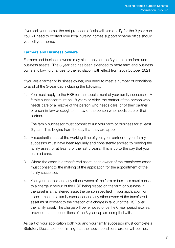If you sell your home, the net proceeds of sale will also qualify for the 3 year cap. You will need to contact your local nursing homes support scheme office should you sell your home.

#### Farmers and Business owners

Farmers and business owners may also apply for the 3 year cap on farm and business assets. The 3 year cap has been extended to more farm and business owners following changes to the legislation with effect from 20th October 2021.

If you are a farmer or business owner, you need to meet a number of conditions to avail of the 3-year cap including the following:

1. You must apply to the HSE for the appointment of your family successor. A family successor must be 18 years or older, the partner of the person who needs care or a relative of the person who needs care, or of their partner or a son-in-law or daughter-in-law of the person who needs care or their partner.

The family successor must commit to run your farm or business for at least 6 years. This begins from the day that they are appointed.

- 2. A substantial part of the working time of you, your partner or your family successor must have been regularly and consistently applied to running the family asset for at least 3 of the last 5 years. This is up to the day that you entered care.
- 3. Where the asset is a transferred asset, each owner of the transferred asset must consent to the making of the application for the appointment of the family successor.
- 4. You, your partner, and any other owners of the farm or business must consent to a charge in favour of the HSE being placed on the farm or business. If the asset is a transferred asset the person specified in your application for appointment as a family successor and any other owner of the transferred asset must consent to the creation of a charge in favour of the HSE over the family asset. The charge will be removed once the 6 year period expires, provided that the conditions of the 3 year cap are complied with.

As part of your application both you and your family successor must complete a Statutory Declaration confirming that the above conditions are, or will be met.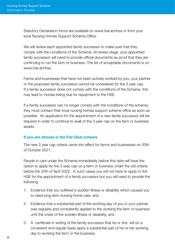Statutory Declaration forms are available on www.hse.ie/nhss or from your local Nursing Homes Support Scheme Office.

We will review each appointed family successor to make sure that they comply with the conditions of the Scheme. At review stage, your appointed family successor will need to provide official documents as proof that they are continuing to run the farm or business. The list of acceptable documents is on www.hse.ie/nhss

Farms and businesses that have not been actively worked by you, your partner or the proposed family successor cannot be considered for the 3 year cap. If a family successor does not comply with the conditions of the Scheme, this may lead to monies being due for repayment to the HSE.

If a family successor can no longer comply with the conditions of the scheme, they must contact their local nursing homes support scheme office as soon as possible. An application for the appointment of a new family successor will be required in order to continue to avail of the 3 year cap on the farm or business assets.

## If you are already in the Fair Deal scheme

The new 3 year cap criteria came into effect for farms and businesses on 20th of October 2021.

People in care under the Scheme immediately before this date will have the option to apply for the 3 year cap on a farm or business under the old criteria before the 20th of April 2022. In such cases you will not have to apply to the HSE for the appointment of a family successor but you will need to provide the following:

- 1. Evidence that you suffered a sudden illness or disability which caused you to need long term nursing home care, and
- 2. Evidence that a substantial part of the working day of you or your partner was regularly and consistently applied to the working the farm or business until the onset of the sudden illness or disability, and
- 3. A certificate in writing of the family successor that he or she will on a consistent and regular basis apply a substantial part of his or her working day to working the farm or the business.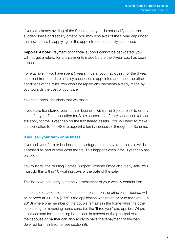If you are already availing of the Scheme but you do not qualify under the sudden illness or disability criteria, you may now avail of the 3 year cap under the new criteria by applying for the appointment of a family successor.

Important note: Payment of financial support cannot be backdated; you will not get a refund for any payments made before the 3-year cap has been applied.

For example, if you have spent 5 years in care, you may qualify for the 3 year cap relief from the date a family successor is appointed and meet the other conditions of the relief. You won't be repaid any payments already made by you towards the cost of your care.

You can appeal decisions that we make.

If you have transferred your farm or business within the 5 years prior to or any time after your first application for State support to a family successor you can still apply for the 3 year cap on the transferred assets. You will need to make an application to the HSE to appoint a family successor through the Scheme.

#### If you sell your farm or business

If you sell your farm or business at any stage, the money from the sale will be assessed as part of your cash assets. This happens even if the 3 year cap has passed.

You must tell the Nursing Homes Support Scheme Office about any sale. You must do this within 10 working days of the date of the sale.

This is so we can carry out a new assessment of your weekly contribution.

In the case of a couple, the contribution based on the principal residence will be capped at 11.25% (7.5% if the application was made prior to the 25th July 2013) where one member of the couple remains in the home while the other enters long term nursing home care, i.e. the 'three year' cap applies. Where a person opts for the nursing home loan in respect of the principal residence, their spouse or partner can also apply to have the repayment of the loan deferred for their lifetime (see section 9).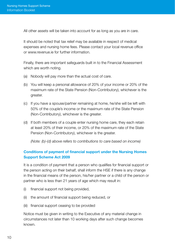All other assets will be taken into account for as long as you are in care.

It should be noted that tax relief may be available in respect of medical expenses and nursing home fees. Please contact your local revenue office or www.revenue.ie for further information.

Finally, there are important safeguards built in to the Financial Assessment which are worth noting.

- (a) Nobody will pay more than the actual cost of care.
- (b) You will keep a personal allowance of 20% of your income or 20% of the maximum rate of the State Pension (Non-Contributory), whichever is the greater.
- (c) If you have a spouse/partner remaining at home, he/she will be left with 50% of the couple's income or the maximum rate of the State Pension (Non-Contributory), whichever is the greater.
- (d) If both members of a couple enter nursing home care, they each retain at least 20% of their income, or 20% of the maximum rate of the State Pension (Non-Contributory), whichever is the greater.

*(Note: (b)-(d) above refers to contributions to care based on income)*

## Conditions of payment of financial support under the Nursing Homes Support Scheme Act 2009

It is a condition of payment that a person who qualifies for financial support or the person acting on their behalf, shall inform the HSE if there is any change in the financial means of the person, his/her partner or a child of the person or partner who is less than 21 years of age which may result in:

- (i) financial support not being provided,
- (ii) the amount of financial support being reduced, or
- (iii) financial support ceasing to be provided

Notice must be given in writing to the Executive of any material change in circumstances not later than 10 working days after such change becomes known.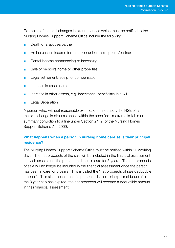Examples of material changes in circumstances which must be notified to the Nursing Homes Support Scheme Office include the following:

- Death of a spouse/partner
- An increase in income for the applicant or their spouse/partner
- Rental income commencing or increasing
- Sale of person's home or other properties
- Legal settlement/receipt of compensation
- Increase in cash assets
- Increase in other assets, e.g. inheritance, beneficiary in a will
- **Legal Separation**

A person who, without reasonable excuse, does not notify the HSE of a material change in circumstances within the specified timeframe is liable on summary conviction to a fine under Section 24 (2) of the Nursing Homes Support Scheme Act 2009.

## What happens when a person in nursing home care sells their principal residence?

The Nursing Homes Support Scheme Office must be notified within 10 working days. The net proceeds of the sale will be included in the financial assessment as cash assets until the person has been in care for 3 years. The net proceeds of sale will no longer be included in the financial assessment once the person has been in care for 3 years. This is called the "net proceeds of sale deductible amount". This also means that if a person sells their principal residence after the 3 year cap has expired, the net proceeds will become a deductible amount in their financial assessment.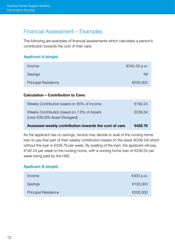# Financial Assessment – Examples

The following are examples of financial assessments which calculates a person's contribution towards the cost of their care:

## Applicant A (single)

| €240.30 p.w. |
|--------------|
| Nil          |
| €200,000     |
|              |

## Calculation – Contribution to Care:

| Assessed weekly contribution towards the cost of care                                   | €428.78 |
|-----------------------------------------------------------------------------------------|---------|
| Weekly Contribution based on 7.5% of Assets<br>(Less $\epsilon$ 36,000 Asset Disregard) | €236.54 |
| Weekly Contribution based on 80% of Income                                              | €192.24 |

As the applicant has no savings, he/she may decide to avail of the nursing home loan to pay that part of their weekly contribution based on the asset (€236.54) which without the loan is €428.78 per week. By availing of the loan, the applicant will pay €192.24 per week to the nursing home, with a nursing home loan of €236.54 per week being paid by the HSE.

## Applicant B (single)

| Income                     | €400 p.w. |
|----------------------------|-----------|
| Savings                    | €100,000  |
| <b>Principal Residence</b> | €200,000  |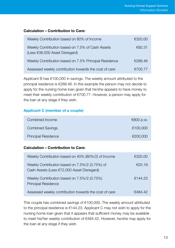## Calculation – Contribution to Care:

| Weekly Contribution based on 80% of Income                                           | €320.00 |
|--------------------------------------------------------------------------------------|---------|
| Weekly Contribution based on 7.5% of Cash Assets<br>(Less $€36,000$ Asset Disregard) | €92.31  |
| Weekly Contribution based on 7.5% Principal Residence                                | €288.46 |
| Assessed weekly contribution towards the cost of care                                | €700.77 |

Applicant B has €100,000 in savings. The weekly amount attributed to the principal residence is €288.46. In this example the person may not decide to apply for the nursing home loan given that he/she appears to have money to meet their weekly contribution of €700.77. However, a person may apply for the loan at any stage if they wish.

## Applicant C (member of a couple)

| Combined Income            | €800 p.w. |
|----------------------------|-----------|
| <b>Combined Savings</b>    | €100.000  |
| <b>Principal Residence</b> | €200,000  |

## Calculation – Contribution to Care:

| Weekly Contribution based on 40% (80%/2) of Income                                           | €320.00 |
|----------------------------------------------------------------------------------------------|---------|
| Weekly Contribution based on 7.5%/2 (3.75%) of<br>Cash Assets (Less €72,000 Asset Disregard) | €20.19  |
| Weekly Contribution based on 7.5%/2 (3.75%)<br><b>Principal Residence</b>                    | €144.23 |
| Assessed weekly contribution towards the cost of care                                        | €484.42 |

This couple has combined savings of €100,000. The weekly amount attributed to the principal residence is €144.23. Applicant C may not wish to apply for the nursing home loan given that it appears that sufficient money may be available to meet his/her weekly contribution of €484.42. However, he/she may apply for the loan at any stage if they wish.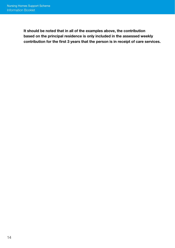It should be noted that in all of the examples above, the contribution based on the principal residence is only included in the assessed weekly contribution for the first 3 years that the person is in receipt of care services.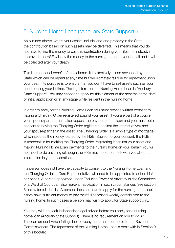# 5. Nursing Home Loan ("Ancillary State Support")

As outlined above, where your assets include land and property in the State, the contribution based on such assets may be deferred. This means that you do not have to find the money to pay this contribution during your lifetime. Instead, if approved, the HSE will pay the money to the nursing home on your behalf and it will be collected after your death.

This is an optional benefit of the scheme. It is effectively a loan advanced by the State which can be repaid at any time but will ultimately fall due for repayment upon your death. Its purpose is to ensure that you don't have to sell assets such as your house during your lifetime. The legal term for the Nursing Home Loan is "Ancillary State Support". You may choose to apply for this element of the scheme at the date of initial application or at any stage while resident in the nursing home.

In order to apply for the Nursing Home Loan you must provide written consent to having a Charging Order registered against your asset. If you are part of a couple, your spouse/partner must also request the payment of the loan and you must both consent to having the Charging Order registered against the interest of you and your spouse/partner in the asset. The Charging Order is a simple type of mortgage which secures the money loaned by the HSE. Subject to your consent, the HSE is responsible for making the Charging Order, registering it against your asset and making Nursing Home Loan payments to the nursing home on your behalf. You will not need to do anything (although the HSE may need to check with you about the information in your application).

If a person does not have the capacity to consent to the Nursing Home Loan and the Charging Order, a Care Representative will need to be appointed to act on his/ her behalf. A person appointed under Enduring Power of Attorney or the Committee of a Ward of Court can also make an application in such circumstances (see section 6 below for full details). A person does not have to apply for the nursing home loan if they have sufficient money to pay their full assessed weekly contribution to the nursing home. In such cases a person may wish to apply for State support only.

You may wish to seek independent legal advice before you apply for a nursing home loan (Ancillary State Support). There is no requirement on you to do so. The loan amount when falling due for repayment must be repaid to the Revenue Commissioners. The repayment of the Nursing Home Loan is dealt with in Section 9 of this booklet.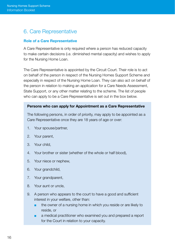# 6. Care Representative

## Role of a Care Representative

A Care Representative is only required where a person has reduced capacity to make certain decisions (i.e. diminished mental capacity) and wishes to apply for the Nursing Home Loan.

The Care Representative is appointed by the Circuit Court. Their role is to act on behalf of the person in respect of the Nursing Homes Support Scheme and especially in respect of the Nursing Home Loan. They can also act on behalf of the person in relation to making an application for a Care Needs Assessment, State Support, or any other matter relating to the scheme. The list of people who can apply to be a Care Representative is set out in the box below.

#### Persons who can apply for Appointment as a Care Representative

The following persons, in order of priority, may apply to be appointed as a Care Representative once they are 18 years of age or over:

- 1. Your spouse/partner,
- 2. Your parent,
- 3. Your child,
- 4. Your brother or sister (whether of the whole or half blood),
- 5. Your niece or nephew,
- 6. Your grandchild,
- 7. Your grandparent,
- 8. Your aunt or uncle,
- 9. A person who appears to the court to have a good and sufficient interest in your welfare, other than:
	- the owner of a nursing home in which you reside or are likely to reside, or
	- a medical practitioner who examined you and prepared a report for the Court in relation to your capacity.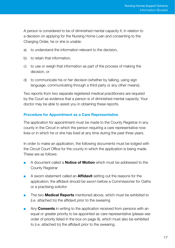A person is considered to be of diminished mental capacity if, in relation to a decision on applying for the Nursing Home Loan and consenting to the Charging Order, he or she is unable:

- a) to understand the information relevant to the decision,
- b) to retain that information,
- c) to use or weigh that information as part of the process of making the decision, or
- d) to communicate his or her decision (whether by talking, using sign language, communicating through a third party or any other means).

Two reports from two separate registered medical practitioners are required by the Court as evidence that a person is of diminished mental capacity. Your doctor may be able to assist you in obtaining these reports.

## Procedure for Appointment as a Care Representative

The application for appointment must be made to the County Registrar in any county in the Circuit in which the person requiring a care representative now lives or in which he or she has lived at any time during the past three years.

In order to make an application, the following documents must be lodged with the Circuit Court Office for the county in which the application is being made. These are as follows:

- A document called a **Notice of Motion** which must be addressed to the County Registrar
- A sworn statement called an **Affidavit** setting out the reasons for the application; the affidavit should be sworn before a Commissioner for Oaths or a practising solicitor
- The two **Medical Reports** mentioned above, which must be exhibited to (i.e. attached to) the affidavit *prior* to the swearing
- Any **Consents** in writing to the application received from persons with an equal or greater priority to be appointed as care representative (please see order of priority listed in the box on page 9), which must also be exhibited to (i.e. attached to) the affidavit *prior* to the swearing.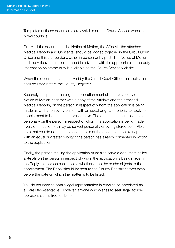Templates of these documents are available on the Courts Service website (www.courts.ie).

Firstly, all the documents (the Notice of Motion, the Affidavit, the attached Medical Reports and Consents) should be lodged together in the Circuit Court Office and this can be done either in person or by post. The Notice of Motion and the Affidavit must be stamped in advance with the appropriate stamp duty. Information on stamp duty is available on the Courts Service website.

When the documents are received by the Circuit Court Office, the application shall be listed before the County Registrar.

Secondly, the person making the application must also serve a copy of the Notice of Motion, together with a copy of the Affidavit and the attached Medical Reports, on the person in respect of whom the application is being made as well as on every person with an equal or greater priority to apply for appointment to be the care representative. The documents must be served personally on the person in respect of whom the application is being made. In every other case they may be served personally or by registered post. Please note that you do not need to serve copies of the documents on every person with an equal or greater priority if the person has already consented in writing to the application.

Finally, the person making the application must also serve a document called a **Reply** on the person in respect of whom the application is being made. In the Reply, the person can indicate whether or not he or she objects to the appointment. The Reply should be sent to the County Registrar seven days before the date on which the matter is to be listed.

You do not need to obtain legal representation in order to be appointed as a Care Representative. However, anyone who wishes to seek legal advice/ representation is free to do so.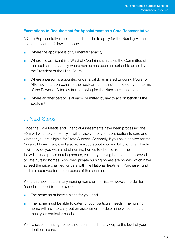## Exemptions to Requirement for Appointment as a Care Representative

A Care Representative is not needed in order to apply for the Nursing Home Loan in any of the following cases:

- Where the applicant is of full mental capacity.
- Where the applicant is a Ward of Court (in such cases the Committee of the applicant may apply where he/she has been authorised to do so by the President of the High Court).
- Where a person is appointed under a valid, registered Enduring Power of Attorney to act on behalf of the applicant and is not restricted by the terms of the Power of Attorney from applying for the Nursing Home Loan.
- Where another person is already permitted by law to act on behalf of the applicant.

# 7. Next Steps

Once the Care Needs and Financial Assessments have been processed the HSE will write to you. Firstly, it will advise you of your contribution to care and whether you are eligible for State Support. Secondly, if you have applied for the Nursing Home Loan, it will also advise you about your eligibility for this. Thirdly, it will provide you with a list of nursing homes to choose from. The list will include public nursing homes, voluntary nursing homes and approved private nursing homes. Approved private nursing homes are homes which have agreed the price charged for care with the National Treatment Purchase Fund and are approved for the purposes of the scheme.

You can choose care in any nursing home on the list. However, in order for financial support to be provided:

- The home must have a place for you, and
- The home must be able to cater for your particular needs. The nursing home will have to carry out an assessment to determine whether it can meet your particular needs.

Your choice of nursing home is not connected in any way to the level of your contribution to care.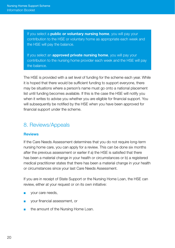If you select a **public or voluntary nursing home**, you will pay your contribution to the HSE or voluntary home as appropriate each week and the HSE will pay the balance.

If you select an **approved private nursing home**, you will pay your contribution to the nursing home provider each week and the HSE will pay the balance.

The HSE is provided with a set level of funding for the scheme each year. While it is hoped that there would be sufficient funding to support everyone, there may be situations where a person's name must go onto a national placement list until funding becomes available. If this is the case the HSE will notify you when it writes to advise you whether you are eligible for financial support. You will subsequently be notified by the HSE when you have been approved for financial support under the scheme.

# 8. Reviews/Appeals

## Reviews

If the Care Needs Assessment determines that you do not require long-term nursing home care, you can apply for a review. This can be done six months after the previous assessment or earlier if a) the HSE is satisfied that there has been a material change in your health or circumstances or b) a registered medical practitioner states that there has been a material change in your health or circumstances since your last Care Needs Assessment.

If you are in receipt of State Support or the Nursing Home Loan, the HSE can review, either at your request or on its own initiative:

- your care needs,
- vour financial assessment, or
- the amount of the Nursing Home Loan.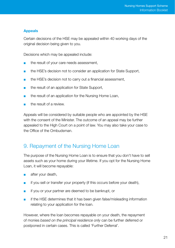## Appeals

Certain decisions of the HSE may be appealed within 40 working days of the original decision being given to you.

Decisions which may be appealed include:

- the result of your care needs assessment,
- the HSE's decision not to consider an application for State Support,
- the HSE's decision not to carry out a financial assessment,
- the result of an application for State Support,
- the result of an application for the Nursing Home Loan,
- the result of a review.

Appeals will be considered by suitable people who are appointed by the HSE with the consent of the Minister. The outcome of an appeal may be further appealed to the High Court on a point of law. You may also take your case to the Office of the Ombudsman.

## 9. Repayment of the Nursing Home Loan

The purpose of the Nursing Home Loan is to ensure that you don't have to sell assets such as your home during your lifetime. If you opt for the Nursing Home Loan, it will become repayable:

- after your death.
- if you sell or transfer your property (if this occurs before your death),
- if you or your partner are deemed to be bankrupt, or
- if the HSE determines that it has been given false/misleading information relating to your application for the loan.

However, where the loan becomes repayable on your death, the repayment of monies *based on the principal residence only* can be further deferred or postponed in certain cases. This is called 'Further Deferral'.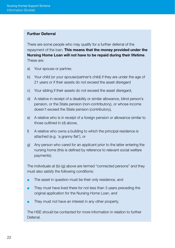#### Further Deferral

There are some people who may qualify for a further deferral of the repayment of the loan. This means that the money provided under the Nursing Home Loan will not have to be repaid during their lifetime. These are:

- a) Your spouse or partner,
- b) Your child (or your spouse/partner's child) if they are under the age of 21 years or if their assets do not exceed the asset disregard
- c) Your sibling if their assets do not exceed the asset disregard,
- d) A relative in receipt of a disability or similar allowance, blind person's pension, or the State pension (non-contributory), or whose income doesn't exceed the State pension (contributory),
- e) A relative who is in receipt of a foreign pension or allowance similar to those outlined in (d) above,
- f) A relative who owns a building to which the principal residence is attached (e.g. 'a granny flat'), or
- g) Any person who cared for an applicant prior to the latter entering the nursing home (this is defined by reference to relevant social welfare payments).

The individuals at (b)-(g) above are termed "connected persons" and they must also satisfy the following conditions:

- The asset in question must be their only residence, and
- They must have lived there for not less than 3 years preceding the original application for the Nursing Home Loan, and
- They must not have an interest in any other property.

The HSE should be contacted for more information in relation to further Deferral.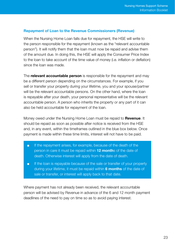#### Repayment of Loan to the Revenue Commissioners (Revenue)

When the Nursing Home Loan falls due for repayment, the HSE will write to the person responsible for the repayment (known as the "relevant accountable person"). It will notify them that the loan must now be repaid and advise them of the amount due. In doing this, the HSE will apply the Consumer Price Index to the loan to take account of the time value of money (i.e. inflation or deflation) since the loan was made.

The **relevant accountable person** is responsible for the repayment and may be a different person depending on the circumstances. For example, if you sell or transfer your property during your lifetime, you and your spouse/partner will be the relevant accountable persons. On the other hand, where the loan is repayable after your death, your personal representative will be the relevant accountable person. A person who inherits the property or any part of it can also be held accountable for repayment of the loan.

Money owed under the Nursing Home Loan must be repaid to **Revenue**. It should be repaid as soon as possible after notice is received from the HSE and, in any event, within the timeframes outlined in the blue box below. Once payment is made within these time limits, interest will not have to be paid.

- If the repayment arises, for example, because of the death of the person in care it must be repaid within **12 month**s of the date of death. Otherwise interest will apply from the date of death.
- If the loan is repayable because of the sale or transfer of your property during your lifetime, it must be repaid within 6 months of the date of sale or transfer, or interest will apply back to that date.

Where payment has not already been received, the relevant accountable person will be advised by Revenue in advance of the 6 and 12 month payment deadlines of the need to pay on time so as to avoid paying interest.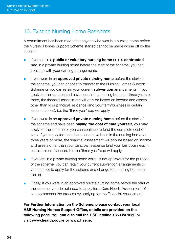# 10. Existing Nursing Home Residents

A commitment has been made that anyone who was in a nursing home before the Nursing Homes Support Scheme started cannot be made worse off by the scheme.

- If you are in a **public or voluntary nursing home** or in a **contracted bed** in a private nursing home before the start of the scheme, you can continue with your existing arrangements.
- If you were in an **approved private nursing home** before the start of the scheme, you can choose to transfer to the Nursing Homes Support Scheme or you can retain your current **subvention** arrangements. If you apply for the scheme and have been in the nursing home for three years or more, the financial assessment will only be based on income and assets other than your principal residence (and your farm/business in certain circumstances), i.e. the 'three year' cap will apply.
- **■** If you were in an **approved private nursing home** before the start of the scheme and have been **paying the cost of care yourself**, you may apply for the scheme or you can continue to fund the complete cost of care. If you apply for the scheme and have been in the nursing home for three years or more, the financial assessment will only be based on income and assets other than your principal residence (and your farm/business in certain circumstances), i.e. the 'three year' cap will apply.
- If you are in a private nursing home which is not approved for the purpose of the scheme, you can retain your current subvention arrangements or you can opt to apply for the scheme and change to a nursing home on the list.
- Finally, if you were in an approved private nursing home before the start of the scheme, you do not need to apply for a Care Needs Assessment. You can commence the process by applying for the Financial Assessment.

For Further Information on the Scheme, please contact your local HSE Nursing Homes Support Office, details are provided on the following page. You can also call the HSE infoline 1850 24 1850 or visit www.health.gov.ie or www.hse.ie.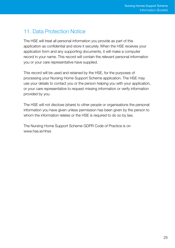# 11. Data Protection Notice

The HSE will treat all personal information you provide as part of this application as confidential and store it securely. When the HSE receives your application form and any supporting documents, it will make a computer record in your name. This record will contain the relevant personal information you or your care representative have supplied.

This record will be used and retained by the HSE, for the purposes of processing your Nursing Home Support Scheme application. The HSE may use your details to contact you or the person helping you with your application, or your care representative to request missing information or verify information provided by you.

The HSE will not disclose (share) to other people or organisations the personal information you have given unless permission has been given by the person to whom the information relates or the HSE is required to do so by law.

The Nursing Home Support Scheme GDPR Code of Practice is on www.hse.ie/nhss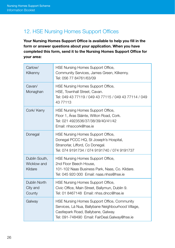# 12. HSE Nursing Homes Support Offices

Your Nursing Homes Support Office is available to help you fill in the form or answer questions about your application. When you have completed this form, send it to the Nursing Homes Support Office for your area:

| Carlow/<br>Kilkenny                     | HSE Nursing Homes Support Office,<br>Community Services, James Green, Kilkenny.<br>Tel: 056 77 84761/63/09                                                                                |
|-----------------------------------------|-------------------------------------------------------------------------------------------------------------------------------------------------------------------------------------------|
| Cavan/<br>Monaghan                      | HSE Nursing Homes Support Office,<br>HSE, Townhall Street, Cavan.<br>Tel: 049 43 77119 / 049 43 77115 / 049 43 77114 / 049<br>43 77113                                                    |
| Cork/ Kerry                             | HSE Nursing Homes Support Office,<br>Floor 1, Áras Sláinte, Wilton Road, Cork.<br>Tel: 021 4923536/37/38/39/40/41/42<br>Email: nhsocork@hse.ie                                            |
| Donegal                                 | HSE Nursing Homes Support Office,<br>Donegal PCCC HQ, St Joseph's Hospital,<br>Stranorlar, Lifford, Co Donegal.<br>Tel: 074 9191734 / 074 9191740 / 074 9191737                           |
| Dublin South,<br>Wicklow and<br>Kildare | HSE Nursing Homes Support Office,<br>2nd Floor Beech House.<br>101-102 Naas Business Park, Naas, Co. Kildare.<br>Tel: 045 920 000 Email: naas.nhss@hse.ie                                 |
| Dublin North<br>City and<br>County      | HSE Nursing Homes Support Office,<br>Civic Office, Main Street, Ballymun, Dublin 9.<br>Tel: 01 8467148 Email: nhss.dncc@hse.ie                                                            |
| Galway                                  | HSE Nursing Homes Support Office, Community<br>Services, Lá Nua, Ballybane Neighbourhood Village,<br>Castlepark Road, Ballybane, Galway.<br>Tel: 091-748490 Email: FairDeal.Galway@hse.ie |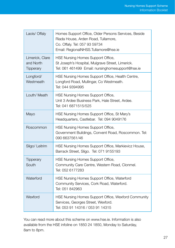| Laois/ Offaly                             | Homes Support Office, Older Persons Services, Beside<br>Riada House, Arden Road, Tullamore,<br>Co. Offaly. Tel: 057 93 59734<br>Email: RegionalNHSS.Tullamore@hse.ie |
|-------------------------------------------|----------------------------------------------------------------------------------------------------------------------------------------------------------------------|
| Limerick, Clare<br>and North<br>Tipperary | HSE Nursing Homes Support Office,<br>St Joseph's Hospital, Mulgrave Street, Limerick.<br>Tel: 061 461499 Email: nursinghomesupport@hse.ie                            |
| Longford/<br>Westmeath                    | HSE Nursing Homes Support Office, Health Centre,<br>Longford Road, Mullingar, Co Westmeath.<br>Tel: 044 9394995                                                      |
| Louth/ Meath                              | HSE Nursing Homes Support Office,<br>Unit 3 Ardee Business Park, Hale Street, Ardee.<br>Tel: 041 6871515/525                                                         |
| Mayo                                      | HSE Nursing Homes Support Office, St Mary's<br>Headquarters, Castlebar. Tel: 094 9049176                                                                             |
| Roscommon                                 | HSE Nursing Homes Support Office,<br>Government Buildings, Convent Road, Roscommon. Tel:<br>090 6637561/46                                                           |
| Sligo/ Leitrim                            | HSE Nursing Homes Support Office, Markievicz House,<br>Barrack Street, Sligo. Tel: 071 9155193                                                                       |
| Tipperary<br>South                        | HSE Nursing Homes Support Office,<br>Community Care Centre, Western Road, Clonmel.<br>Tel: 052 6177283                                                               |
| Waterford                                 | HSE Nursing Homes Support Office, Waterford<br>Community Services, Cork Road, Waterford.<br>Tel: 051 842963                                                          |
| Wexford                                   | HSE Nursing Homes Support Office, Wexford Community<br>Services, Georges Street, Wexford.<br>Tel: 053 91 14316 / 053 91 14315                                        |

You can read more about this scheme on www.hse.ie. Information is also available from the HSE infoline on 1850 24 1850, Monday to Saturday, 8am to 8pm.